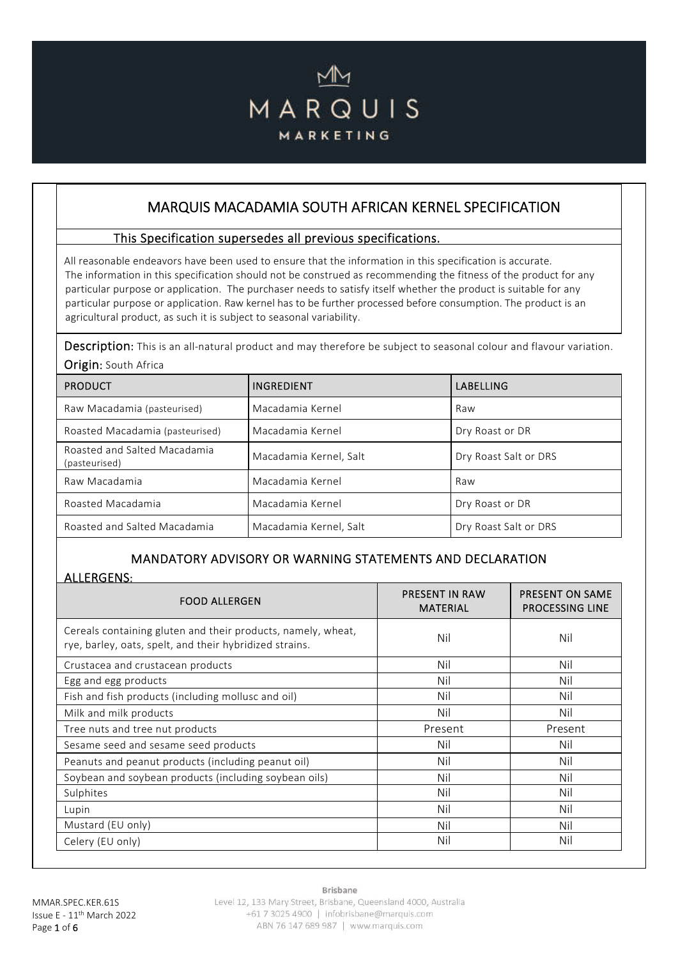# MARQUIS MARKETING

# MARQUIS MACADAMIA SOUTH AFRICAN KERNEL SPECIFICATION

#### This Specification supersedes all previous specifications.

All reasonable endeavors have been used to ensure that the information in this specification is accurate. The information in this specification should not be construed as recommending the fitness of the product for any particular purpose or application. The purchaser needs to satisfy itself whether the product is suitable for any particular purpose or application. Raw kernel has to be further processed before consumption. The product is an agricultural product, as such it is subject to seasonal variability.

Description: This is an all-natural product and may therefore be subject to seasonal colour and flavour variation. Origin: South Africa

| <b>PRODUCT</b>                                | INGREDIENT             | LABELLING             |
|-----------------------------------------------|------------------------|-----------------------|
| Raw Macadamia (pasteurised)                   | Macadamia Kernel       | Raw                   |
| Roasted Macadamia (pasteurised)               | Macadamia Kernel       | Dry Roast or DR       |
| Roasted and Salted Macadamia<br>(pasteurised) | Macadamia Kernel, Salt | Dry Roast Salt or DRS |
| Raw Macadamia                                 | Macadamia Kernel       | Raw                   |
| Roasted Macadamia                             | Macadamia Kernel       | Dry Roast or DR       |
| Roasted and Salted Macadamia                  | Macadamia Kernel, Salt | Dry Roast Salt or DRS |

## MANDATORY ADVISORY OR WARNING STATEMENTS AND DECLARATION

#### ALLERGENS:

| <b>FOOD ALLERGEN</b>                                                                                                    | <b>PRESENT IN RAW</b><br><b>MATERIAL</b> | <b>PRESENT ON SAME</b><br><b>PROCESSING LINE</b> |
|-------------------------------------------------------------------------------------------------------------------------|------------------------------------------|--------------------------------------------------|
| Cereals containing gluten and their products, namely, wheat,<br>rye, barley, oats, spelt, and their hybridized strains. | Nil                                      | Nil                                              |
| Crustacea and crustacean products                                                                                       | Nil                                      | Nil                                              |
| Egg and egg products                                                                                                    | Nil                                      | Nil                                              |
| Fish and fish products (including mollusc and oil)                                                                      | Nil                                      | Nil                                              |
| Milk and milk products                                                                                                  | Nil                                      | Nil                                              |
| Tree nuts and tree nut products                                                                                         | Present                                  | Present                                          |
| Sesame seed and sesame seed products                                                                                    | Nil                                      | Nil                                              |
| Peanuts and peanut products (including peanut oil)                                                                      | Nil                                      | Nil                                              |
| Soybean and soybean products (including soybean oils)                                                                   | Nil                                      | Nil                                              |
| Sulphites                                                                                                               | Nil                                      | Nil                                              |
| Lupin                                                                                                                   | Nil                                      | Nil                                              |
| Mustard (EU only)                                                                                                       | Nil                                      | Nil                                              |
| Celery (EU only)                                                                                                        | Nil                                      | Nil                                              |

Brisbane

Level 12, 133 Mary Street, Brisbane, Queensland 4000, Australia +61 7 3025 4900 | infobrisbane@marquis.com ABN 76 147 689 987 | www.marquis.com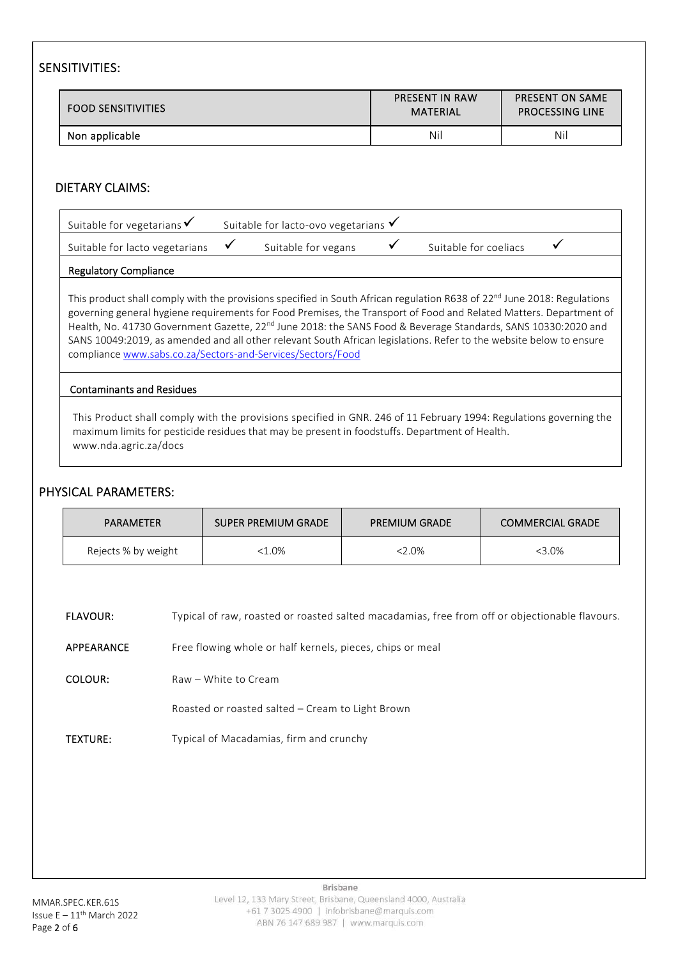## SENSITIVITIES:

| <b>FOOD SENSITIVITIES</b> | <b>PRESENT IN RAW</b><br>MATERIAL | <b>PRESENT ON SAME</b><br><b>PROCESSING LINE</b> |
|---------------------------|-----------------------------------|--------------------------------------------------|
| Non applicable            | Nil                               | Nil                                              |

#### DIETARY CLAIMS:

| Suitable for vegetarians $\checkmark$ | Suitable for lacto-ovo vegetarians $\checkmark$ |                       |  |
|---------------------------------------|-------------------------------------------------|-----------------------|--|
| Suitable for lacto vegetarians        | Suitable for vegans                             | Suitable for coeliacs |  |

#### Regulatory Compliance

This product shall comply with the provisions specified in South African regulation R638 of 22<sup>nd</sup> June 2018: Regulations governing general hygiene requirements for Food Premises, the Transport of Food and Related Matters. Department of Health, No. 41730 Government Gazette, 22<sup>nd</sup> June 2018: the SANS Food & Beverage Standards, SANS 10330:2020 and SANS 10049:2019, as amended and all other relevant South African legislations. Refer to the website below to ensure compliance www.sabs.co.za/Sectors-and-Services/Sectors/Food

#### Contaminants and Residues

This Product shall comply with the provisions specified in GNR. 246 of 11 February 1994: Regulations governing the maximum limits for pesticide residues that may be present in foodstuffs. Department of Health. www.nda.agric.za/docs

#### PHYSICAL PARAMETERS:

| <b>PARAMETER</b>    | SUPER PREMIUM GRADE | <b>PREMIUM GRADE</b> | <b>COMMERCIAL GRADE</b> |
|---------------------|---------------------|----------------------|-------------------------|
| Rejects % by weight | <1.0%               | <2.0%                | <3.0%                   |

| <b>FLAVOUR:</b> |  |  | Typical of raw, roasted or roasted salted macadamias, free from off or objectionable flavours. |
|-----------------|--|--|------------------------------------------------------------------------------------------------|
|                 |  |  |                                                                                                |

- APPEARANCE Free flowing whole or half kernels, pieces, chips or meal
- COLOUR: Raw White to Cream

Roasted or roasted salted – Cream to Light Brown

TEXTURE: Typical of Macadamias, firm and crunchy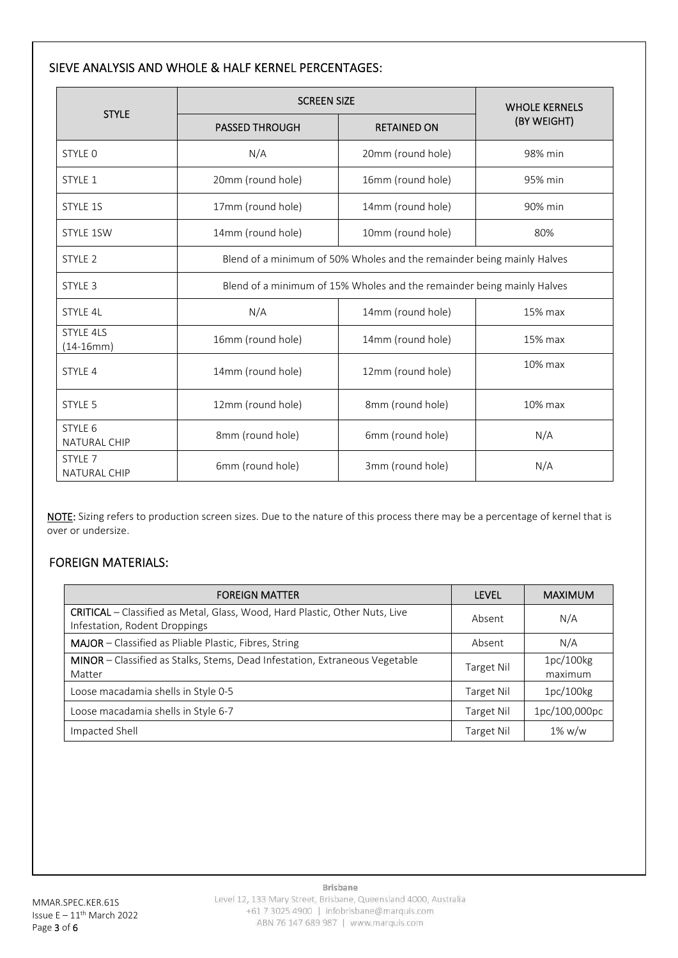#### SIEVE ANALYSIS AND WHOLE & HALF KERNEL PERCENTAGES:

|                                    | <b>SCREEN SIZE</b>                                                     | <b>WHOLE KERNELS</b>                                                   |             |  |  |  |
|------------------------------------|------------------------------------------------------------------------|------------------------------------------------------------------------|-------------|--|--|--|
| <b>STYLE</b>                       | <b>PASSED THROUGH</b>                                                  | <b>RETAINED ON</b>                                                     | (BY WEIGHT) |  |  |  |
| STYLE 0                            | N/A                                                                    | 20mm (round hole)                                                      | 98% min     |  |  |  |
| STYLE 1                            | 20mm (round hole)                                                      | 16mm (round hole)                                                      | 95% min     |  |  |  |
| STYLE 1S                           | 17mm (round hole)                                                      | 14mm (round hole)                                                      | 90% min     |  |  |  |
| <b>STYLE 1SW</b>                   | 14mm (round hole)                                                      | 10mm (round hole)                                                      | 80%         |  |  |  |
| STYLE <sub>2</sub>                 |                                                                        | Blend of a minimum of 50% Wholes and the remainder being mainly Halves |             |  |  |  |
| STYLE 3                            | Blend of a minimum of 15% Wholes and the remainder being mainly Halves |                                                                        |             |  |  |  |
| STYLE 4L                           | N/A                                                                    | 15% max                                                                |             |  |  |  |
| <b>STYLE 4LS</b><br>$(14-16mm)$    | 16mm (round hole)                                                      | 14mm (round hole)                                                      | 15% max     |  |  |  |
| STYLE 4                            | 14mm (round hole)                                                      | 12mm (round hole)                                                      | 10% max     |  |  |  |
| STYLE 5                            | 12mm (round hole)                                                      | 8mm (round hole)                                                       | 10% max     |  |  |  |
| STYLE 6<br><b>NATURAL CHIP</b>     | 8mm (round hole)                                                       | 6mm (round hole)                                                       | N/A         |  |  |  |
| STYLE <sub>7</sub><br>NATURAL CHIP | 6mm (round hole)                                                       | 3mm (round hole)                                                       | N/A         |  |  |  |

NOTE: Sizing refers to production screen sizes. Due to the nature of this process there may be a percentage of kernel that is over or undersize.

# FOREIGN MATERIALS:

| <b>FOREIGN MATTER</b>                                                                                               | <b>LEVEL</b> | <b>MAXIMUM</b>       |
|---------------------------------------------------------------------------------------------------------------------|--------------|----------------------|
| <b>CRITICAL</b> - Classified as Metal, Glass, Wood, Hard Plastic, Other Nuts, Live<br>Infestation, Rodent Droppings | Absent       | N/A                  |
| MAJOR - Classified as Pliable Plastic, Fibres, String                                                               | Absent       | N/A                  |
| MINOR – Classified as Stalks, Stems, Dead Infestation, Extraneous Vegetable<br>Matter                               | Target Nil   | 1pc/100kg<br>maximum |
| Loose macadamia shells in Style 0-5                                                                                 | Target Nil   | 1pc/100kg            |
| Loose macadamia shells in Style 6-7                                                                                 | Target Nil   | 1pc/100,000pc        |
| Impacted Shell                                                                                                      | Target Nil   | $1\%$ w/w            |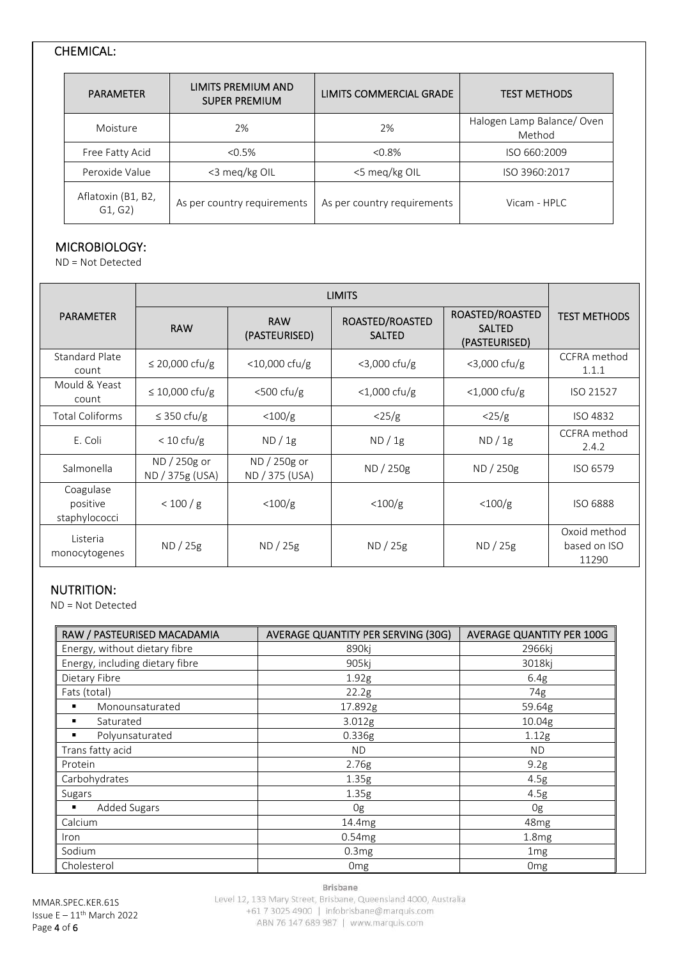# CHEMICAL:

| <b>PARAMETER</b>              | LIMITS PREMIUM AND<br><b>SUPER PREMIUM</b> | LIMITS COMMERCIAL GRADE     | <b>TEST METHODS</b>                 |
|-------------------------------|--------------------------------------------|-----------------------------|-------------------------------------|
| Moisture                      | 2%                                         | 2%                          | Halogen Lamp Balance/Oven<br>Method |
| Free Fatty Acid               | $< 0.5\%$                                  | < 0.8%                      | ISO 660:2009                        |
| Peroxide Value                | <3 meg/kg OIL                              | <5 meg/kg OIL               | ISO 3960:2017                       |
| Aflatoxin (B1, B2,<br>G1, G2) | As per country requirements                | As per country requirements | Vicam - $HPIC$                      |

# MICROBIOLOGY:

ND = Not Detected

| <b>PARAMETER</b>                       | <b>RAW</b>                      | <b>RAW</b><br>(PASTEURISED)    | ROASTED/ROASTED<br><b>SALTED</b> | ROASTED/ROASTED<br><b>SALTED</b><br>(PASTEURISED) | <b>TEST METHODS</b>                   |
|----------------------------------------|---------------------------------|--------------------------------|----------------------------------|---------------------------------------------------|---------------------------------------|
| <b>Standard Plate</b><br>count         | $\leq$ 20,000 cfu/g             | $<$ 10,000 cfu/g               | $<$ 3,000 cfu/g                  | $<$ 3,000 cfu/g                                   | CCFRA method<br>1.1.1                 |
| Mould & Yeast<br>count                 | $\leq 10,000$ cfu/g             | $<$ 500 cfu/g                  | $<$ 1,000 cfu/g                  | $<$ 1,000 cfu/g                                   | ISO 21527                             |
| <b>Total Coliforms</b>                 | $\leq$ 350 cfu/g                | $<$ 100/g                      | $\langle 25/g \rangle$           | $\langle 25/g \rangle$                            | ISO 4832                              |
| E. Coli                                | $< 10 \text{ cfu/g}$            | ND / 1g                        | ND/1g                            | ND/1g                                             | CCFRA method<br>2.4.2                 |
| Salmonella                             | ND / 250g or<br>ND / 375g (USA) | ND / 250g or<br>ND / 375 (USA) | ND / 250g                        | ND / 250g                                         | ISO 6579                              |
| Coagulase<br>positive<br>staphylococci | < 100 / g                       | $<$ 100/g                      | $<$ 100/g                        | $<$ 100/g                                         | ISO 6888                              |
| Listeria<br>monocytogenes              | ND / 25g                        | ND / 25g                       | ND / 25g                         | ND / 25g                                          | Oxoid method<br>based on ISO<br>11290 |

#### NUTRITION:

ND = Not Detected

| RAW / PASTEURISED MACADAMIA     | <b>AVERAGE QUANTITY PER SERVING (30G)</b> | AVERAGE QUANTITY PER 100G |
|---------------------------------|-------------------------------------------|---------------------------|
| Energy, without dietary fibre   | 890kj                                     | 2966kj                    |
| Energy, including dietary fibre | 905ki                                     | 3018kj                    |
| Dietary Fibre                   | 1.92g                                     | 6.4g                      |
| Fats (total)                    | 22.2g                                     | 74g                       |
| Monounsaturated<br>٠            | 17.892g                                   | 59.64g                    |
| Saturated<br>٠                  | 3.012g                                    | 10.04g                    |
| Polyunsaturated<br>٠            | 0.336g                                    | 1.12g                     |
| Trans fatty acid                | <b>ND</b>                                 | ND.                       |
| Protein                         | 2.76g                                     | 9.2g                      |
| Carbohydrates                   | 1.35g                                     | 4.5g                      |
| Sugars                          | 1.35g                                     | 4.5g                      |
| Added Sugars<br>٠               | 0g                                        | 0g                        |
| Calcium                         | 14.4mg                                    | 48 <sub>mg</sub>          |
| <i>Iron</i>                     | 0.54mg                                    | 1.8mg                     |
| Sodium                          | 0.3mg                                     | 1 <sub>mg</sub>           |
| Cholesterol                     | 0 <sub>mg</sub>                           | 0 <sub>mg</sub>           |

MMAR.SPEC.KER.61S Issue  $E - 11$ <sup>th</sup> March 2022 Page 4 of 6

Brisbane

Level 12, 133 Mary Street, Brisbane, Queensland 4000, Australia +61 7 3025 4900 | infobrisbane@marquis.com ABN 76 147 689 987 | www.marquis.com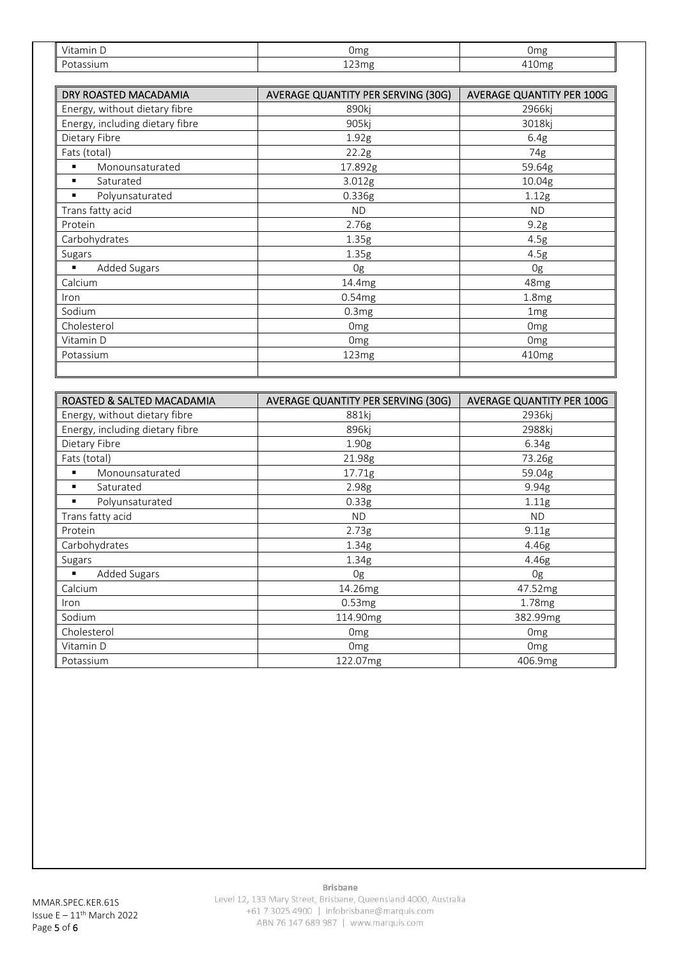| Ш<br>$\cdots$<br>-111<br>. L. | Omg                            | 0 <sub>mg</sub>            |  |
|-------------------------------|--------------------------------|----------------------------|--|
| I<br>$\sim$                   | $\sim$ $\sim$<br>$\sim$<br>ᆂᆇᆑ | $\sim$<br>. .<br>-<br>וטבי |  |

| DRY ROASTED MACADAMIA           | <b>AVERAGE QUANTITY PER SERVING (30G)</b> | AVERAGE QUANTITY PER 100G |  |
|---------------------------------|-------------------------------------------|---------------------------|--|
| Energy, without dietary fibre   | 890ki                                     | 2966ki                    |  |
| Energy, including dietary fibre | 905kj                                     | 3018kj                    |  |
| Dietary Fibre                   | 1.92g                                     | 6.4g                      |  |
| Fats (total)                    | 22.2g                                     | 74g                       |  |
| Monounsaturated<br>г            | 17.892g                                   | 59.64g                    |  |
| Saturated<br>п                  | 3.012g                                    | 10.04g                    |  |
| Polyunsaturated<br>г            | 0.336g                                    | 1.12g                     |  |
| Trans fatty acid                | <b>ND</b>                                 | <b>ND</b>                 |  |
| Protein                         | 2.76g                                     | 9.2g                      |  |
| Carbohydrates                   | 1.35g                                     | 4.5g                      |  |
| Sugars                          | 1.35g                                     | 4.5g                      |  |
| Added Sugars<br>٠               | 0g                                        | 0g                        |  |
| Calcium                         | 14.4mg                                    | 48 <sub>mg</sub>          |  |
| Iron                            | 0.54mg                                    | 1.8 <sub>mg</sub>         |  |
| Sodium                          | 0.3mg                                     | 1 <sub>mg</sub>           |  |
| Cholesterol                     | 0 <sub>mg</sub>                           | 0 <sub>mg</sub>           |  |
| Vitamin D                       | 0 <sub>mg</sub>                           |                           |  |
| Potassium                       | 123mg<br>410 <sub>mg</sub>                |                           |  |

| ROASTED & SALTED MACADAMIA      | AVERAGE QUANTITY PER SERVING (30G) | <b>AVERAGE QUANTITY PER 100G</b> |  |
|---------------------------------|------------------------------------|----------------------------------|--|
| Energy, without dietary fibre   | 881ki                              | 2936ki                           |  |
| Energy, including dietary fibre | 896kj                              | 2988kj                           |  |
| Dietary Fibre                   | 1.90 <sub>g</sub>                  | 6.34g                            |  |
| Fats (total)                    | 21.98g                             | 73.26g                           |  |
| Monounsaturated<br>٠            | 17.71g                             | 59.04g                           |  |
| Saturated<br>٠                  | 2.98g                              | 9.94g                            |  |
| Polyunsaturated                 | 0.33g                              | 1.11g                            |  |
| Trans fatty acid                | ND                                 | ND.                              |  |
| Protein                         | 2.73g                              | 9.11g                            |  |
| Carbohydrates                   | 1.34 <sub>g</sub>                  | 4.46g                            |  |
| Sugars                          | 1.34 <sub>g</sub>                  | 4.46g                            |  |
| <b>Added Sugars</b>             | 0g                                 | 0g                               |  |
| Calcium                         | 14.26mg                            | 47.52mg                          |  |
| Iron                            | 0.53mg                             | 1.78 <sub>mg</sub>               |  |
| Sodium                          | 114.90mg                           | 382.99mg                         |  |
| Cholesterol                     | Omg                                | Omg                              |  |
| Vitamin D                       | Omg                                | Omg                              |  |
| Potassium                       | 122.07mg                           | 406.9mg                          |  |

Brisbane